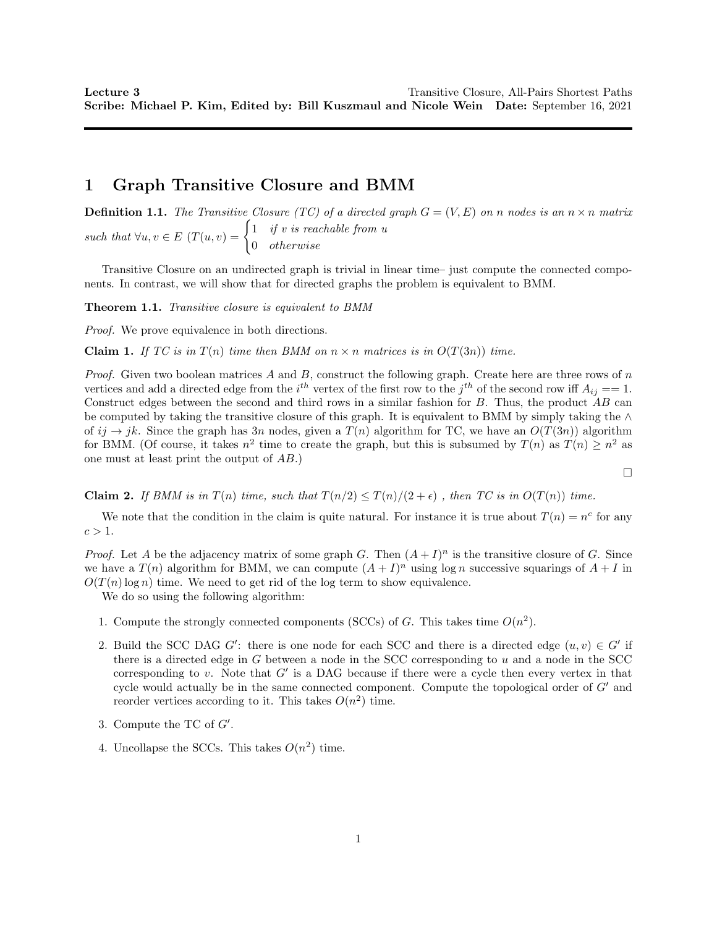# 1 Graph Transitive Closure and BMM

**Definition 1.1.** The Transitive Closure (TC) of a directed graph  $G = (V, E)$  on n nodes is an  $n \times n$  matrix such that  $\forall u, v \in E$   $(T(u, v) = \begin{cases} 1 & \text{if } v \text{ is reachable from } u \\ 0 & \text{otherwise.} \end{cases}$ 0 otherwise

Transitive Closure on an undirected graph is trivial in linear time– just compute the connected components. In contrast, we will show that for directed graphs the problem is equivalent to BMM.

Theorem 1.1. Transitive closure is equivalent to BMM

Proof. We prove equivalence in both directions.

**Claim 1.** If TC is in T(n) time then BMM on  $n \times n$  matrices is in  $O(T(3n))$  time.

*Proof.* Given two boolean matrices A and B, construct the following graph. Create here are three rows of n vertices and add a directed edge from the  $i^{th}$  vertex of the first row to the  $j^{th}$  of the second row iff  $A_{ij} == 1$ . Construct edges between the second and third rows in a similar fashion for  $B$ . Thus, the product  $AB$  can be computed by taking the transitive closure of this graph. It is equivalent to BMM by simply taking the ∧ of  $ij \to jk$ . Since the graph has 3n nodes, given a  $T(n)$  algorithm for TC, we have an  $O(T(3n))$  algorithm for BMM. (Of course, it takes  $n^2$  time to create the graph, but this is subsumed by  $T(n)$  as  $T(n) \geq n^2$  as one must at least print the output of AB.)

**Claim 2.** If BMM is in  $T(n)$  time, such that  $T(n/2) \leq T(n)/(2 + \epsilon)$ , then TC is in  $O(T(n))$  time.

We note that the condition in the claim is quite natural. For instance it is true about  $T(n) = n^c$  for any  $c > 1$ .

*Proof.* Let A be the adjacency matrix of some graph G. Then  $(A+I)^n$  is the transitive closure of G. Since we have a  $T(n)$  algorithm for BMM, we can compute  $(A + I)^n$  using  $\log n$  successive squarings of  $A + I$  in  $O(T(n) \log n)$  time. We need to get rid of the log term to show equivalence.

We do so using the following algorithm:

- 1. Compute the strongly connected components (SCCs) of G. This takes time  $O(n^2)$ .
- 2. Build the SCC DAG G': there is one node for each SCC and there is a directed edge  $(u, v) \in G'$  if there is a directed edge in  $G$  between a node in the SCC corresponding to  $u$  and a node in the SCC corresponding to  $v$ . Note that  $G'$  is a DAG because if there were a cycle then every vertex in that cycle would actually be in the same connected component. Compute the topological order of  $G'$  and reorder vertices according to it. This takes  $O(n^2)$  time.
- 3. Compute the TC of  $G'$ .
- 4. Uncollapse the SCCs. This takes  $O(n^2)$  time.

 $\Box$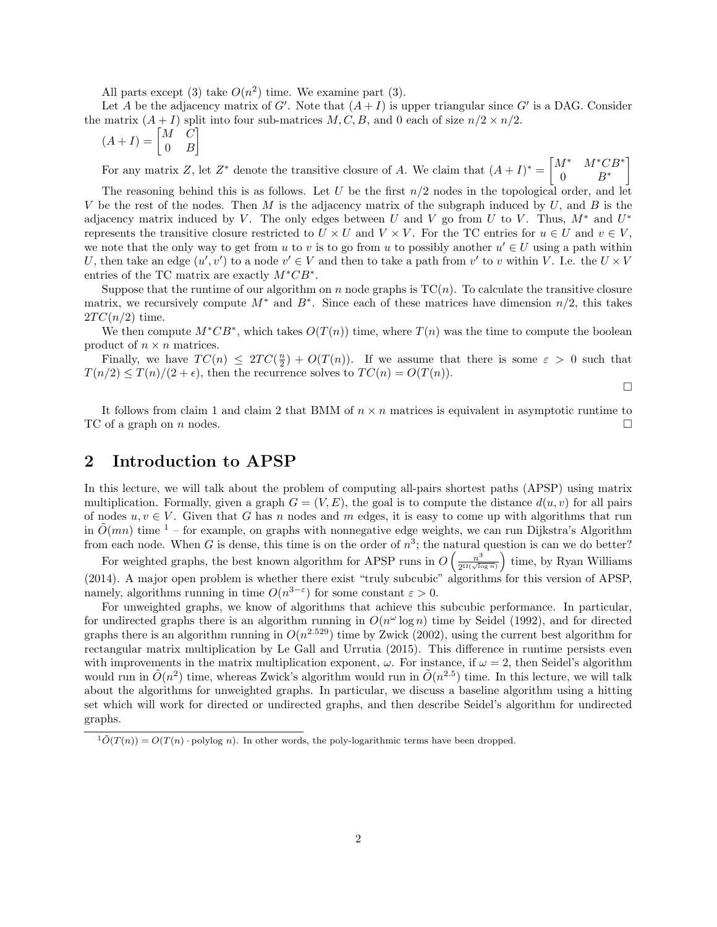All parts except (3) take  $O(n^2)$  time. We examine part (3).

Let A be the adjacency matrix of  $G'$ . Note that  $(A+I)$  is upper triangular since  $G'$  is a DAG. Consider the matrix  $(A + I)$  split into four sub-matrices M, C, B, and 0 each of size  $n/2 \times n/2$ .

$$
(A+I) = \begin{bmatrix} M & C \\ 0 & B \end{bmatrix}
$$

For any matrix Z, let  $Z^*$  denote the transitive closure of A. We claim that  $(A+I)^* = \begin{bmatrix} M^* & M^*CB^* \\ 0 & D^* \end{bmatrix}$ 0  $B^*$ 1

The reasoning behind this is as follows. Let U be the first  $n/2$  nodes in the topological order, and let V be the rest of the nodes. Then M is the adjacency matrix of the subgraph induced by  $U$ , and  $B$  is the adjacency matrix induced by V. The only edges between U and V go from U to V. Thus,  $M^*$  and  $U^*$ represents the transitive closure restricted to  $U \times U$  and  $V \times V$ . For the TC entries for  $u \in U$  and  $v \in V$ , we note that the only way to get from u to v is to go from u to possibly another  $u' \in U$  using a path within U, then take an edge  $(u', v')$  to a node  $v' \in V$  and then to take a path from  $v'$  to v within V. I.e. the  $U \times V$ entries of the TC matrix are exactly  $M^*CB^*$ .

Suppose that the runtime of our algorithm on n node graphs is  $TC(n)$ . To calculate the transitive closure matrix, we recursively compute  $M^*$  and  $B^*$ . Since each of these matrices have dimension  $n/2$ , this takes  $2TC(n/2)$  time.

We then compute  $M^*CB^*$ , which takes  $O(T(n))$  time, where  $T(n)$  was the time to compute the boolean product of  $n \times n$  matrices.

Finally, we have  $TC(n) \leq 2TC(\frac{n}{2}) + O(T(n))$ . If we assume that there is some  $\varepsilon > 0$  such that  $T(n/2) \leq T(n)/(2 + \epsilon)$ , then the recurrence solves to  $TC(n) = O(T(n))$ .

 $\Box$ 

It follows from claim 1 and claim 2 that BMM of  $n \times n$  matrices is equivalent in asymptotic runtime to TC of a graph on n nodes.  $\square$ 

#### 2 Introduction to APSP

In this lecture, we will talk about the problem of computing all-pairs shortest paths (APSP) using matrix multiplication. Formally, given a graph  $G = (V, E)$ , the goal is to compute the distance  $d(u, v)$  for all pairs of nodes  $u, v \in V$ . Given that G has n nodes and m edges, it is easy to come up with algorithms that run in  $\tilde{O}(mn)$  time <sup>1</sup> – for example, on graphs with nonnegative edge weights, we can run Dijkstra's Algorithm from each node. When G is dense, this time is on the order of  $n^3$ ; the natural question is can we do better?

For weighted graphs, the best known algorithm for APSP runs in  $O\left(\frac{n^3}{2^{\Omega(\sqrt{\log n}})}\right)$  time, by Ryan Williams (2014). A major open problem is whether there exist "truly subcubic" algorithms for this version of APSP, namely, algorithms running in time  $O(n^{3-\epsilon})$  for some constant  $\varepsilon > 0$ .

For unweighted graphs, we know of algorithms that achieve this subcubic performance. In particular, for undirected graphs there is an algorithm running in  $O(n^{\omega} \log n)$  time by Seidel (1992), and for directed graphs there is an algorithm running in  $O(n^{2.529})$  time by Zwick (2002), using the current best algorithm for rectangular matrix multiplication by Le Gall and Urrutia (2015). This difference in runtime persists even with improvements in the matrix multiplication exponent,  $\omega$ . For instance, if  $\omega = 2$ , then Seidel's algorithm would run in  $\tilde{O}(n^2)$  time, whereas Zwick's algorithm would run in  $\tilde{O}(n^{2.5})$  time. In this lecture, we will talk about the algorithms for unweighted graphs. In particular, we discuss a baseline algorithm using a hitting set which will work for directed or undirected graphs, and then describe Seidel's algorithm for undirected graphs.

 $1\tilde{O}(T(n)) = O(T(n) \cdot \text{polylog } n)$ . In other words, the poly-logarithmic terms have been dropped.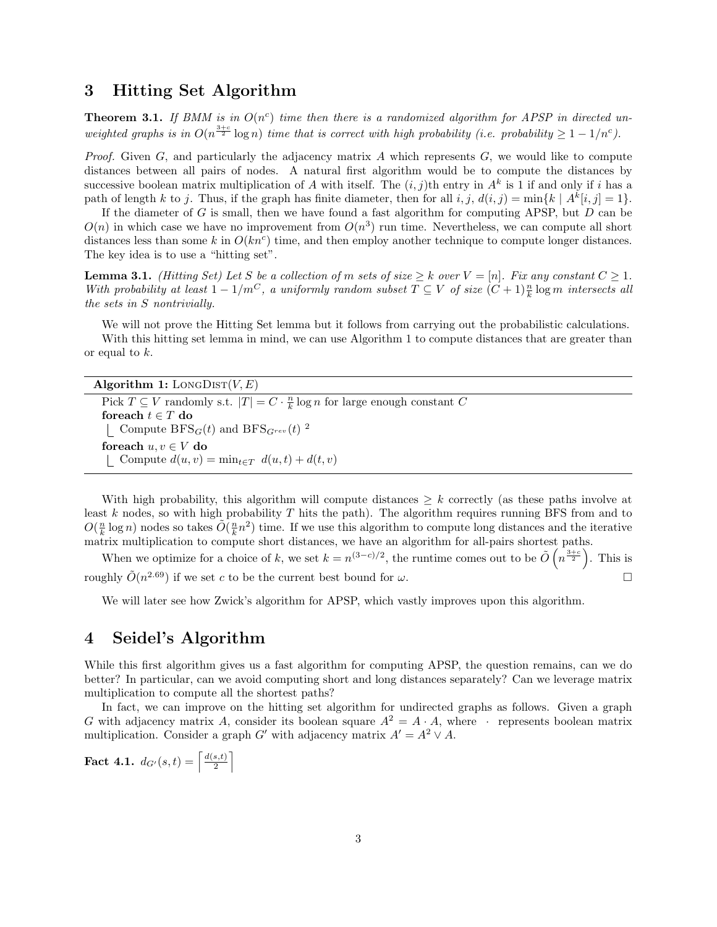### 3 Hitting Set Algorithm

**Theorem 3.1.** If BMM is in  $O(n^c)$  time then there is a randomized algorithm for APSP in directed unweighted graphs is in  $O(n^{\frac{3+c}{2}} \log n)$  time that is correct with high probability (i.e. probability  $\geq 1-1/n^c$ ).

*Proof.* Given  $G$ , and particularly the adjacency matrix A which represents  $G$ , we would like to compute distances between all pairs of nodes. A natural first algorithm would be to compute the distances by successive boolean matrix multiplication of A with itself. The  $(i, j)$ th entry in  $A<sup>k</sup>$  is 1 if and only if i has a path of length k to j. Thus, if the graph has finite diameter, then for all  $i, j, d(i, j) = \min\{k \mid A^k[i, j] = 1\}$ .

If the diameter of  $G$  is small, then we have found a fast algorithm for computing APSP, but  $D$  can be  $O(n)$  in which case we have no improvement from  $O(n^3)$  run time. Nevertheless, we can compute all short distances less than some k in  $O(kn^c)$  time, and then employ another technique to compute longer distances. The key idea is to use a "hitting set".

**Lemma 3.1.** (Hitting Set) Let S be a collection of m sets of size  $\geq k$  over  $V = [n]$ . Fix any constant  $C \geq 1$ . With probability at least  $1 - 1/m^C$ , a uniformly random subset  $T \subseteq V$  of size  $(C + 1)\frac{n}{k} \log m$  intersects all the sets in S nontrivially.

We will not prove the Hitting Set lemma but it follows from carrying out the probabilistic calculations. With this hitting set lemma in mind, we can use Algorithm 1 to compute distances that are greater than or equal to k.

| Algorithm 1: LONGDIST $(V, E)$                                                                    |
|---------------------------------------------------------------------------------------------------|
| Pick $T \subseteq V$ randomly s.t. $ T  = C \cdot \frac{n}{k} \log n$ for large enough constant C |
| foreach $t \in T$ do                                                                              |
| Compute BFS <sub>G</sub> (t) and BFS <sub>Grev</sub> (t) <sup>2</sup>                             |
| for each $u, v \in V$ do                                                                          |
| Compute $d(u, v) = \min_{t \in T} d(u, t) + d(t, v)$                                              |

With high probability, this algorithm will compute distances  $\geq k$  correctly (as these paths involve at least k nodes, so with high probability  $T$  hits the path). The algorithm requires running BFS from and to  $O(\frac{n}{k}\log n)$  nodes so takes  $\tilde{O}(\frac{n}{k}n^2)$  time. If we use this algorithm to compute long distances and the iterative matrix multiplication to compute short distances, we have an algorithm for all-pairs shortest paths.

When we optimize for a choice of k, we set  $k = n^{(3-c)/2}$ , the runtime comes out to be  $\tilde{O}(n^{\frac{3+c}{2}})$ . This is roughly  $\tilde{O}(n^{2.69})$  if we set c to be the current best bound for  $\omega$ .

We will later see how Zwick's algorithm for APSP, which vastly improves upon this algorithm.

## 4 Seidel's Algorithm

While this first algorithm gives us a fast algorithm for computing APSP, the question remains, can we do better? In particular, can we avoid computing short and long distances separately? Can we leverage matrix multiplication to compute all the shortest paths?

In fact, we can improve on the hitting set algorithm for undirected graphs as follows. Given a graph G with adjacency matrix A, consider its boolean square  $A^2 = A \cdot A$ , where  $\cdot$  represents boolean matrix multiplication. Consider a graph G' with adjacency matrix  $A' = A^2 \vee A$ .

**Fact 4.1.**  $d_{G'}(s,t) = \left[\frac{d(s,t)}{2}\right]$  $\left[\frac{s,t)}{2}\right]$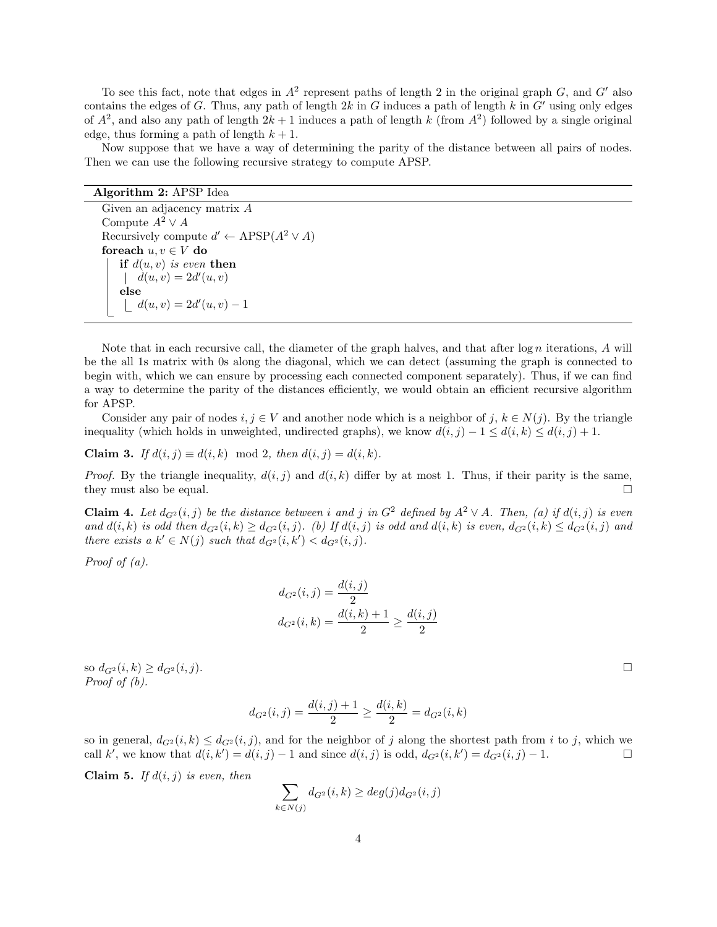To see this fact, note that edges in  $A^2$  represent paths of length 2 in the original graph G, and G' also contains the edges of G. Thus, any path of length  $2k$  in G induces a path of length k in G' using only edges of  $A^2$ , and also any path of length  $2k+1$  induces a path of length k (from  $A^2$ ) followed by a single original edge, thus forming a path of length  $k + 1$ .

Now suppose that we have a way of determining the parity of the distance between all pairs of nodes. Then we can use the following recursive strategy to compute APSP.

#### Algorithm 2: APSP Idea

Given an adjacency matrix A Compute  $A^2 \vee A$ Recursively compute  $d' \leftarrow APSP(A^2 \vee A)$ foreach  $u, v \in V$  do if  $d(u, v)$  is even then  $d(u, v) = 2d'(u, v)$ else  $d(u, v) = 2d'(u, v) - 1$ 

Note that in each recursive call, the diameter of the graph halves, and that after  $\log n$  iterations, A will be the all 1s matrix with 0s along the diagonal, which we can detect (assuming the graph is connected to begin with, which we can ensure by processing each connected component separately). Thus, if we can find a way to determine the parity of the distances efficiently, we would obtain an efficient recursive algorithm for APSP.

Consider any pair of nodes  $i, j \in V$  and another node which is a neighbor of  $j, k \in N(j)$ . By the triangle inequality (which holds in unweighted, undirected graphs), we know  $d(i, j) - 1 \leq d(i, k) \leq d(i, j) + 1$ .

Claim 3. If  $d(i, j) \equiv d(i, k) \mod 2$ , then  $d(i, j) = d(i, k)$ .

*Proof.* By the triangle inequality,  $d(i, j)$  and  $d(i, k)$  differ by at most 1. Thus, if their parity is the same, they must also be equal.  $\Box$ 

**Claim 4.** Let  $d_{G^2}(i, j)$  be the distance between i and j in  $G^2$  defined by  $A^2 \vee A$ . Then, (a) if  $d(i, j)$  is even and  $d(i, k)$  is odd then  $d_{G^2}(i, k) \geq d_{G^2}(i, j)$ . (b) If  $d(i, j)$  is odd and  $d(i, k)$  is even,  $d_{G^2}(i, k) \leq d_{G^2}(i, j)$  and there exists a  $k' \in N(j)$  such that  $d_{G^2}(i, k') < d_{G^2}(i, j)$ .

*Proof of*  $(a)$ *.* 

$$
d_{G^2}(i,j) = \frac{d(i,j)}{2}
$$
  

$$
d_{G^2}(i,k) = \frac{d(i,k) + 1}{2} \ge \frac{d(i,j)}{2}
$$

so  $d_{G^2}(i,k) \geq d_{G^2}(i,j)$ . Proof of (b).

$$
d_{G^2}(i,j) = \frac{d(i,j) + 1}{2} \ge \frac{d(i,k)}{2} = d_{G^2}(i,k)
$$

so in general,  $d_{G^2}(i,k) \leq d_{G^2}(i,j)$ , and for the neighbor of j along the shortest path from i to j, which we call k<sup>i</sup>, we know that  $d(i, k') = d(i, j) - 1$  and since  $d(i, j)$  is odd,  $d_{G^2}(i, k') = d_{G^2}(i, j) - 1$ .

**Claim 5.** If  $d(i, j)$  is even, then

$$
\sum_{k \in N(j)} d_{G^2}(i,k) \ge deg(j)d_{G^2}(i,j)
$$